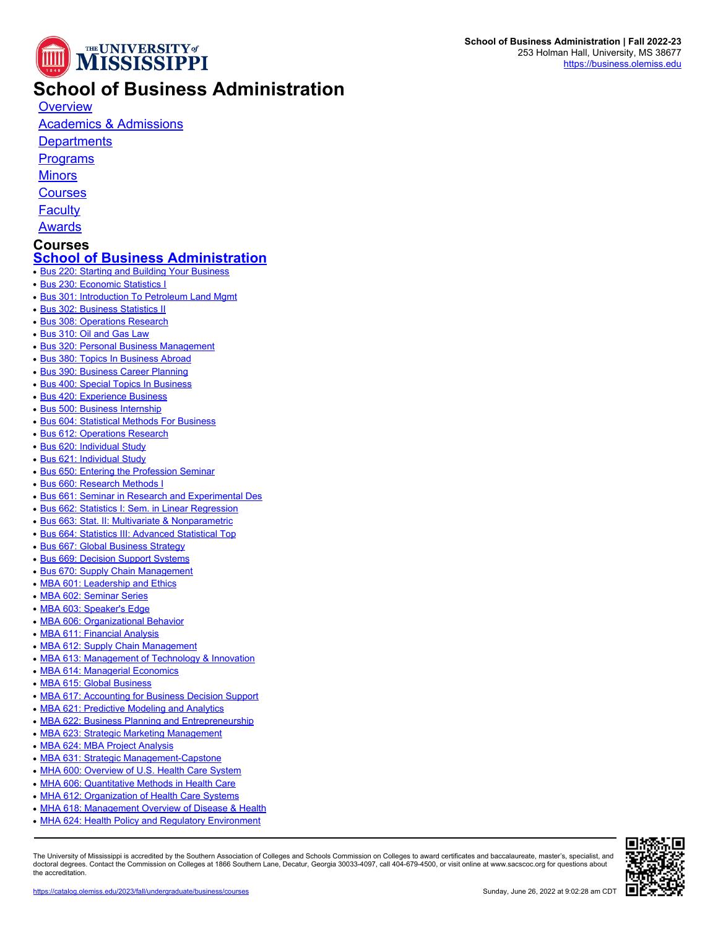

## **School of Business Administration**

**[Overview](https://catalog.olemiss.edu/business)** 

[Academics & Admissions](https://catalog.olemiss.edu/business/academics)

**[Departments](https://catalog.olemiss.edu/business/departments)** 

**[Programs](https://catalog.olemiss.edu/business/programs)** 

**[Minors](https://catalog.olemiss.edu/business/minors)** 

**[Courses](https://catalog.olemiss.edu/business/courses)** 

**[Faculty](https://catalog.olemiss.edu/business/faculty)** 

[Awards](https://catalog.olemiss.edu/business/awards)

## **Courses [School of Business Administration](https://catalog.olemiss.edu/business)**

- [Bus 220: Starting and Building Your Business](https://catalog.olemiss.edu/business/bus-220)
- [Bus 230: Economic Statistics I](https://catalog.olemiss.edu/business/bus-230)
- [Bus 301: Introduction To Petroleum Land Mgmt](https://catalog.olemiss.edu/business/bus-301)
- [Bus 302: Business Statistics II](https://catalog.olemiss.edu/business/bus-302)
- [Bus 308: Operations Research](https://catalog.olemiss.edu/business/bus-308)
- [Bus 310: Oil and Gas Law](https://catalog.olemiss.edu/business/bus-310)
- **[Bus 320: Personal Business Management](https://catalog.olemiss.edu/business/bus-320)**
- [Bus 380: Topics In Business Abroad](https://catalog.olemiss.edu/business/bus-380)
- [Bus 390: Business Career Planning](https://catalog.olemiss.edu/business/bus-390)
- [Bus 400: Special Topics In Business](https://catalog.olemiss.edu/business/bus-400)
- [Bus 420: Experience Business](https://catalog.olemiss.edu/business/bus-420)
- [Bus 500: Business Internship](https://catalog.olemiss.edu/business/bus-500)
- [Bus 604: Statistical Methods For Business](https://catalog.olemiss.edu/business/bus-604)
- [Bus 612: Operations Research](https://catalog.olemiss.edu/business/bus-612)
- [Bus 620: Individual Study](https://catalog.olemiss.edu/business/bus-620)
- [Bus 621: Individual Study](https://catalog.olemiss.edu/business/bus-621)
- [Bus 650: Entering the Profession Seminar](https://catalog.olemiss.edu/business/bus-650)
- [Bus 660: Research Methods I](https://catalog.olemiss.edu/business/bus-660)
- **[Bus 661: Seminar in Research and Experimental Des](https://catalog.olemiss.edu/business/bus-661)**
- **[Bus 662: Statistics I: Sem. in Linear Regression](https://catalog.olemiss.edu/business/bus-662)**
- [Bus 663: Stat. II: Multivariate & Nonparametric](https://catalog.olemiss.edu/business/bus-663)
- [Bus 664: Statistics III: Advanced Statistical Top](https://catalog.olemiss.edu/business/bus-664)
- [Bus 667: Global Business Strategy](https://catalog.olemiss.edu/business/bus-667)
- [Bus 669: Decision Support Systems](https://catalog.olemiss.edu/business/bus-669)
- [Bus 670: Supply Chain Management](https://catalog.olemiss.edu/business/bus-670)
- [MBA 601: Leadership and Ethics](https://catalog.olemiss.edu/business/mba-601)
- [MBA 602: Seminar Series](https://catalog.olemiss.edu/business/mba-602)
- [MBA 603: Speaker's Edge](https://catalog.olemiss.edu/business/mba-603)
- [MBA 606: Organizational Behavior](https://catalog.olemiss.edu/business/mba-606)
- [MBA 611: Financial Analysis](https://catalog.olemiss.edu/business/mba-611)
- [MBA 612: Supply Chain Management](https://catalog.olemiss.edu/business/mba-612)
- [MBA 613: Management of Technology & Innovation](https://catalog.olemiss.edu/business/mba-613)
- [MBA 614: Managerial Economics](https://catalog.olemiss.edu/business/mba-614)
- [MBA 615: Global Business](https://catalog.olemiss.edu/business/mba-615)
- [MBA 617: Accounting for Business Decision Support](https://catalog.olemiss.edu/business/mba-617)
- [MBA 621: Predictive Modeling and Analytics](https://catalog.olemiss.edu/business/mba-621)
- [MBA 622: Business Planning and Entrepreneurship](https://catalog.olemiss.edu/business/mba-622)
- [MBA 623: Strategic Marketing Management](https://catalog.olemiss.edu/business/mba-623)
- [MBA 624: MBA Project Analysis](https://catalog.olemiss.edu/business/mba-624)
- [MBA 631: Strategic Management-Capstone](https://catalog.olemiss.edu/business/mba-631)
- [MHA 600: Overview of U.S. Health Care System](https://catalog.olemiss.edu/business/mha-600)
- [MHA 606: Quantitative Methods in Health Care](https://catalog.olemiss.edu/business/mha-606)
- [MHA 612: Organization of Health Care Systems](https://catalog.olemiss.edu/business/mha-612)
- [MHA 618: Management Overview of Disease & Health](https://catalog.olemiss.edu/business/mha-618)
- [MHA 624: Health Policy and Regulatory Environment](https://catalog.olemiss.edu/business/mha-624)

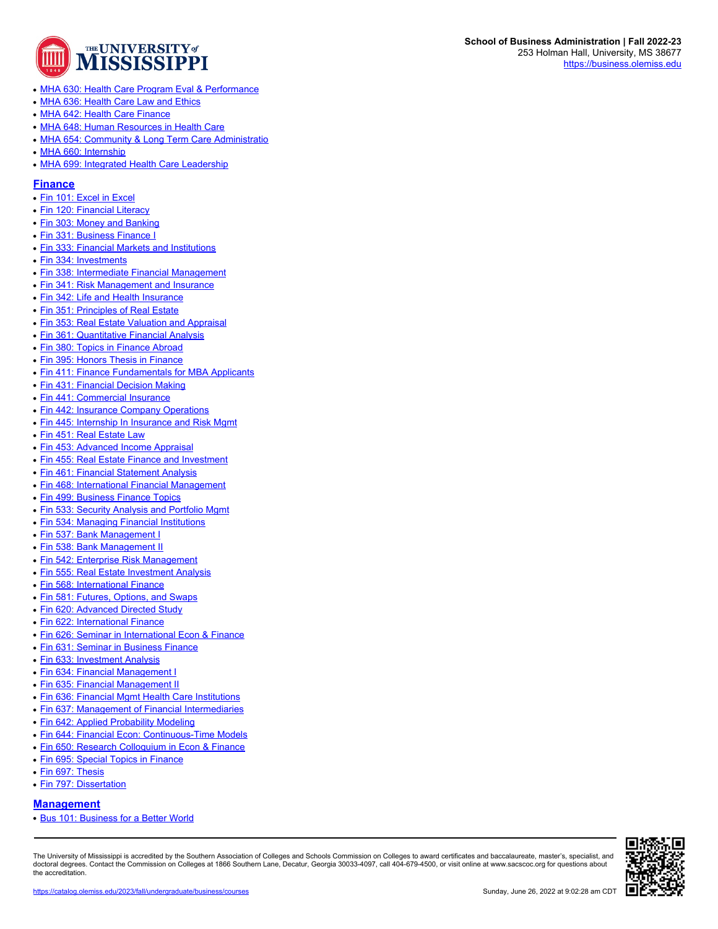

- [MHA 630: Health Care Program Eval & Performance](https://catalog.olemiss.edu/business/mha-630)
- [MHA 636: Health Care Law and Ethics](https://catalog.olemiss.edu/business/mha-636)
- [MHA 642: Health Care Finance](https://catalog.olemiss.edu/business/mha-642)
- [MHA 648: Human Resources in Health Care](https://catalog.olemiss.edu/business/mha-648)
- [MHA 654: Community & Long Term Care Administratio](https://catalog.olemiss.edu/business/mha-654)
- [MHA 660: Internship](https://catalog.olemiss.edu/business/mha-660)
- [MHA 699: Integrated Health Care Leadership](https://catalog.olemiss.edu/business/mha-699)

### **[Finance](https://catalog.olemiss.edu/business/finance)**

- [Fin 101: Excel in Excel](https://catalog.olemiss.edu/business/finance/fin-101)
- [Fin 120: Financial Literacy](https://catalog.olemiss.edu/business/finance/fin-120)
- [Fin 303: Money and Banking](https://catalog.olemiss.edu/business/finance/fin-303)
- [Fin 331: Business Finance I](https://catalog.olemiss.edu/business/finance/fin-331)
- [Fin 333: Financial Markets and Institutions](https://catalog.olemiss.edu/business/finance/fin-333)
- [Fin 334: Investments](https://catalog.olemiss.edu/business/finance/fin-334)
- [Fin 338: Intermediate Financial Management](https://catalog.olemiss.edu/business/finance/fin-338)
- [Fin 341: Risk Management and Insurance](https://catalog.olemiss.edu/business/finance/fin-341)
- [Fin 342: Life and Health Insurance](https://catalog.olemiss.edu/business/finance/fin-342)
- [Fin 351: Principles of Real Estate](https://catalog.olemiss.edu/business/finance/fin-351)
- [Fin 353: Real Estate Valuation and Appraisal](https://catalog.olemiss.edu/business/finance/fin-353)
- [Fin 361: Quantitative Financial Analysis](https://catalog.olemiss.edu/business/finance/fin-361)
- [Fin 380: Topics in Finance Abroad](https://catalog.olemiss.edu/business/finance/fin-380)
- [Fin 395: Honors Thesis in Finance](https://catalog.olemiss.edu/business/finance/fin-395)
- [Fin 411: Finance Fundamentals for MBA Applicants](https://catalog.olemiss.edu/business/finance/fin-411)
- [Fin 431: Financial Decision Making](https://catalog.olemiss.edu/business/finance/fin-431)
- [Fin 441: Commercial Insurance](https://catalog.olemiss.edu/business/finance/fin-441)
- [Fin 442: Insurance Company Operations](https://catalog.olemiss.edu/business/finance/fin-442)
- [Fin 445: Internship In Insurance and Risk Mgmt](https://catalog.olemiss.edu/business/finance/fin-445)
- [Fin 451: Real Estate Law](https://catalog.olemiss.edu/business/finance/fin-451)
- [Fin 453: Advanced Income Appraisal](https://catalog.olemiss.edu/business/finance/fin-453)
- [Fin 455: Real Estate Finance and Investment](https://catalog.olemiss.edu/business/finance/fin-455)
- [Fin 461: Financial Statement Analysis](https://catalog.olemiss.edu/business/finance/fin-461)
- [Fin 468: International Financial Management](https://catalog.olemiss.edu/business/finance/fin-468)
- [Fin 499: Business Finance Topics](https://catalog.olemiss.edu/business/finance/fin-499)
- [Fin 533: Security Analysis and Portfolio Mgmt](https://catalog.olemiss.edu/business/finance/fin-533)
- [Fin 534: Managing Financial Institutions](https://catalog.olemiss.edu/business/finance/fin-534)
- [Fin 537: Bank Management I](https://catalog.olemiss.edu/business/finance/fin-537)
- [Fin 538: Bank Management II](https://catalog.olemiss.edu/business/finance/fin-538)
- [Fin 542: Enterprise Risk Management](https://catalog.olemiss.edu/business/finance/fin-542)
- [Fin 555: Real Estate Investment Analysis](https://catalog.olemiss.edu/business/finance/fin-555)
- [Fin 568: International Finance](https://catalog.olemiss.edu/business/finance/fin-568)
- [Fin 581: Futures, Options, and Swaps](https://catalog.olemiss.edu/business/finance/fin-581)
- [Fin 620: Advanced Directed Study](https://catalog.olemiss.edu/business/finance/fin-620)
- [Fin 622: International Finance](https://catalog.olemiss.edu/business/finance/fin-622)
- [Fin 626: Seminar in International Econ & Finance](https://catalog.olemiss.edu/business/finance/fin-626)
- [Fin 631: Seminar in Business Finance](https://catalog.olemiss.edu/business/finance/fin-631)
- [Fin 633: Investment Analysis](https://catalog.olemiss.edu/business/finance/fin-633)
- [Fin 634: Financial Management I](https://catalog.olemiss.edu/business/finance/fin-634)
- [Fin 635: Financial Management II](https://catalog.olemiss.edu/business/finance/fin-635)
- [Fin 636: Financial Mgmt Health Care Institutions](https://catalog.olemiss.edu/business/finance/fin-636)
- [Fin 637: Management of Financial Intermediaries](https://catalog.olemiss.edu/business/finance/fin-637)
- [Fin 642: Applied Probability Modeling](https://catalog.olemiss.edu/business/finance/fin-642)
- [Fin 644: Financial Econ: Continuous-Time Models](https://catalog.olemiss.edu/business/finance/fin-644)
- [Fin 650: Research Colloquium in Econ & Finance](https://catalog.olemiss.edu/business/finance/fin-650)
- [Fin 695: Special Topics in Finance](https://catalog.olemiss.edu/business/finance/fin-695)
- [Fin 697: Thesis](https://catalog.olemiss.edu/business/finance/fin-697)
- [Fin 797: Dissertation](https://catalog.olemiss.edu/business/finance/fin-797)

## **[Management](https://catalog.olemiss.edu/business/management)**

● [Bus 101: Business for a Better World](https://catalog.olemiss.edu/business/management/bus-101)

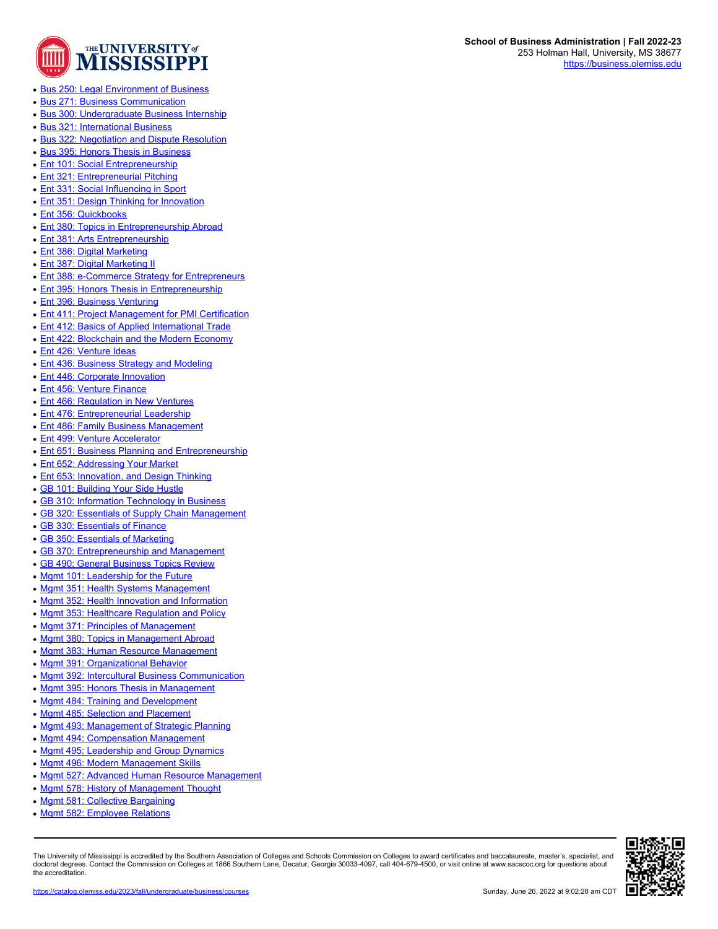

- [Bus 250: Legal Environment of Business](https://catalog.olemiss.edu/business/management/bus-250)
- [Bus 271: Business Communication](https://catalog.olemiss.edu/business/management/bus-271)
- **[Bus 300: Undergraduate Business Internship](https://catalog.olemiss.edu/business/management/bus-300)**
- [Bus 321: International Business](https://catalog.olemiss.edu/business/management/bus-321)
- [Bus 322: Negotiation and Dispute Resolution](https://catalog.olemiss.edu/business/management/bus-322)
- [Bus 395: Honors Thesis in Business](https://catalog.olemiss.edu/business/management/bus-395)
- [Ent 101: Social Entrepreneurship](https://catalog.olemiss.edu/business/management/ent-101)
- [Ent 321: Entrepreneurial Pitching](https://catalog.olemiss.edu/business/management/ent-321)
- [Ent 331: Social Influencing in Sport](https://catalog.olemiss.edu/business/management/ent-331)
- [Ent 351: Design Thinking for Innovation](https://catalog.olemiss.edu/business/management/ent-351)
- [Ent 356: Quickbooks](https://catalog.olemiss.edu/business/management/ent-356)
- [Ent 380: Topics in Entrepreneurship Abroad](https://catalog.olemiss.edu/business/management/ent-380)
- [Ent 381: Arts Entrepreneurship](https://catalog.olemiss.edu/business/management/ent-381)
- [Ent 386: Digital Marketing](https://catalog.olemiss.edu/business/management/ent-386)
- [Ent 387: Digital Marketing II](https://catalog.olemiss.edu/business/management/ent-387)
- **[Ent 388: e-Commerce Strategy for Entrepreneurs](https://catalog.olemiss.edu/business/management/ent-388)**
- [Ent 395: Honors Thesis in Entrepreneurship](https://catalog.olemiss.edu/business/management/ent-395)
- [Ent 396: Business Venturing](https://catalog.olemiss.edu/business/management/ent-396)
- [Ent 411: Project Management for PMI Certification](https://catalog.olemiss.edu/business/management/ent-411)
- [Ent 412: Basics of Applied International Trade](https://catalog.olemiss.edu/business/management/ent-412)
- [Ent 422: Blockchain and the Modern Economy](https://catalog.olemiss.edu/business/management/ent-422)
- [Ent 426: Venture Ideas](https://catalog.olemiss.edu/business/management/ent-426)
- [Ent 436: Business Strategy and Modeling](https://catalog.olemiss.edu/business/management/ent-436)
- [Ent 446: Corporate Innovation](https://catalog.olemiss.edu/business/management/ent-446)
- [Ent 456: Venture Finance](https://catalog.olemiss.edu/business/management/ent-456)
- **[Ent 466: Regulation in New Ventures](https://catalog.olemiss.edu/business/management/ent-466)**
- [Ent 476: Entrepreneurial Leadership](https://catalog.olemiss.edu/business/management/ent-476)
- [Ent 486: Family Business Management](https://catalog.olemiss.edu/business/management/ent-486)
- [Ent 499: Venture Accelerator](https://catalog.olemiss.edu/business/management/ent-499)
- [Ent 651: Business Planning and Entrepreneurship](https://catalog.olemiss.edu/business/management/ent-651)
- [Ent 652: Addressing Your Market](https://catalog.olemiss.edu/business/management/ent-652)
- [Ent 653: Innovation, and Design Thinking](https://catalog.olemiss.edu/business/management/ent-653)
- [GB 101: Building Your Side Hustle](https://catalog.olemiss.edu/business/management/gb-101)
- [GB 310: Information Technology in Business](https://catalog.olemiss.edu/business/management/gb-310)
- [GB 320: Essentials of Supply Chain Management](https://catalog.olemiss.edu/business/management/gb-320)
- [GB 330: Essentials of Finance](https://catalog.olemiss.edu/business/management/gb-330)
- [GB 350: Essentials of Marketing](https://catalog.olemiss.edu/business/management/gb-350)
- [GB 370: Entrepreneurship and Management](https://catalog.olemiss.edu/business/management/gb-370)
- [GB 490: General Business Topics Review](https://catalog.olemiss.edu/business/management/gb-490)
- [Mgmt 101: Leadership for the Future](https://catalog.olemiss.edu/business/management/mgmt-101)
- [Mgmt 351: Health Systems Management](https://catalog.olemiss.edu/business/management/mgmt-351)
- [Mgmt 352: Health Innovation and Information](https://catalog.olemiss.edu/business/management/mgmt-352)
- [Mgmt 353: Healthcare Regulation and Policy](https://catalog.olemiss.edu/business/management/mgmt-353)
- [Mgmt 371: Principles of Management](https://catalog.olemiss.edu/business/management/mgmt-371)
- [Mgmt 380: Topics in Management Abroad](https://catalog.olemiss.edu/business/management/mgmt-380)
- [Mgmt 383: Human Resource Management](https://catalog.olemiss.edu/business/management/mgmt-383)
- 
- [Mgmt 391: Organizational Behavior](https://catalog.olemiss.edu/business/management/mgmt-391)
- [Mgmt 392: Intercultural Business Communication](https://catalog.olemiss.edu/business/management/mgmt-392)
- [Mgmt 395: Honors Thesis in Management](https://catalog.olemiss.edu/business/management/mgmt-395)
- [Mgmt 484: Training and Development](https://catalog.olemiss.edu/business/management/mgmt-484)
- [Mgmt 485: Selection and Placement](https://catalog.olemiss.edu/business/management/mgmt-485)
- [Mgmt 493: Management of Strategic Planning](https://catalog.olemiss.edu/business/management/mgmt-493)
- [Mgmt 494: Compensation Management](https://catalog.olemiss.edu/business/management/mgmt-494)
- [Mgmt 495: Leadership and Group Dynamics](https://catalog.olemiss.edu/business/management/mgmt-495)
- [Mgmt 496: Modern Management Skills](https://catalog.olemiss.edu/business/management/mgmt-496)
- [Mgmt 527: Advanced Human Resource Management](https://catalog.olemiss.edu/business/management/mgmt-527)
- [Mgmt 578: History of Management Thought](https://catalog.olemiss.edu/business/management/mgmt-578)
- [Mgmt 581: Collective Bargaining](https://catalog.olemiss.edu/business/management/mgmt-581)
- [Mgmt 582: Employee Relations](https://catalog.olemiss.edu/business/management/mgmt-582)

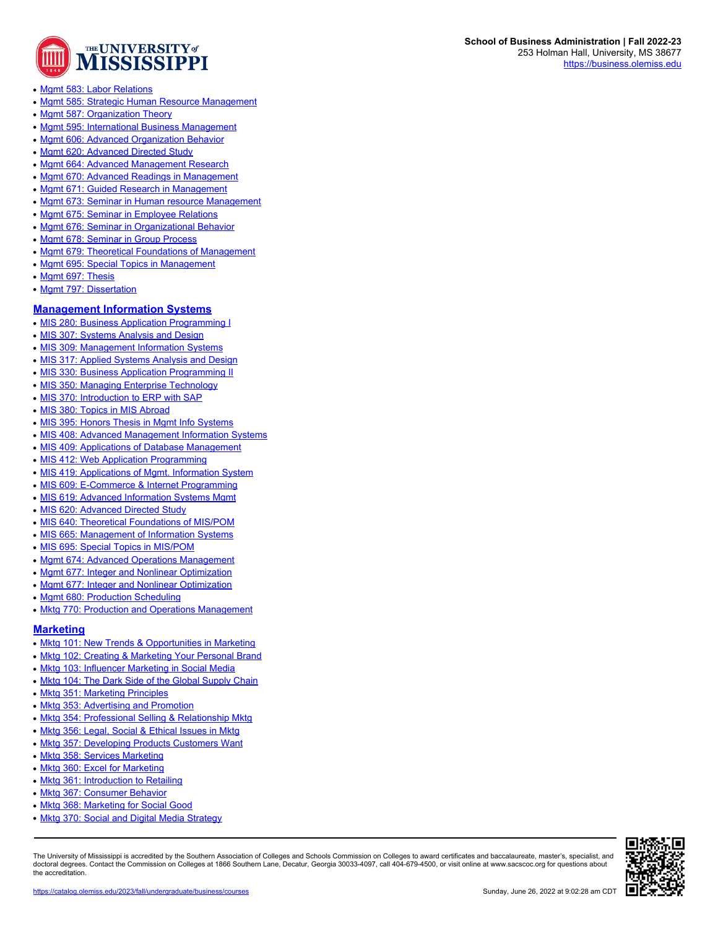

- [Mgmt 583: Labor Relations](https://catalog.olemiss.edu/business/management/mgmt-583)
- [Mgmt 585: Strategic Human Resource Management](https://catalog.olemiss.edu/business/management/mgmt-585)
- [Mgmt 587: Organization Theory](https://catalog.olemiss.edu/business/management/mgmt-587)
- [Mgmt 595: International Business Management](https://catalog.olemiss.edu/business/management/mgmt-595)
- [Mgmt 606: Advanced Organization Behavior](https://catalog.olemiss.edu/business/management/mgmt-606)
- [Mgmt 620: Advanced Directed Study](https://catalog.olemiss.edu/business/management/mgmt-620)
- [Mgmt 664: Advanced Management Research](https://catalog.olemiss.edu/business/management/mgmt-664)
- [Mgmt 670: Advanced Readings in Management](https://catalog.olemiss.edu/business/management/mgmt-670)
- [Mgmt 671: Guided Research in Management](https://catalog.olemiss.edu/business/management/mgmt-671)
- [Mgmt 673: Seminar in Human resource Management](https://catalog.olemiss.edu/business/management/mgmt-673)
- [Mgmt 675: Seminar in Employee Relations](https://catalog.olemiss.edu/business/management/mgmt-675)
- [Mgmt 676: Seminar in Organizational Behavior](https://catalog.olemiss.edu/business/management/mgmt-676)
- [Mgmt 678: Seminar in Group Process](https://catalog.olemiss.edu/business/management/mgmt-678)
- [Mgmt 679: Theoretical Foundations of Management](https://catalog.olemiss.edu/business/management/mgmt-679)
- [Mgmt 695: Special Topics in Management](https://catalog.olemiss.edu/business/management/mgmt-695)
- [Mgmt 697: Thesis](https://catalog.olemiss.edu/business/management/mgmt-697)
- [Mgmt 797: Dissertation](https://catalog.olemiss.edu/business/management/mgmt-797)

#### **[Management Information Systems](https://catalog.olemiss.edu/business/mis)**

- [MIS 280: Business Application Programming I](https://catalog.olemiss.edu/business/mis/mis-280)
- [MIS 307: Systems Analysis and Design](https://catalog.olemiss.edu/business/mis/mis-307)
- [MIS 309: Management Information Systems](https://catalog.olemiss.edu/business/mis/mis-309)
- [MIS 317: Applied Systems Analysis and Design](https://catalog.olemiss.edu/business/mis/mis-317)
- [MIS 330: Business Application Programming II](https://catalog.olemiss.edu/business/mis/mis-330)
- [MIS 350: Managing Enterprise Technology](https://catalog.olemiss.edu/business/mis/mis-350)
- [MIS 370: Introduction to ERP with SAP](https://catalog.olemiss.edu/business/mis/mis-370)
- [MIS 380: Topics in MIS Abroad](https://catalog.olemiss.edu/business/mis/mis-380)
- [MIS 395: Honors Thesis in Mgmt Info Systems](https://catalog.olemiss.edu/business/mis/mis-395)
- [MIS 408: Advanced Management Information Systems](https://catalog.olemiss.edu/business/mis/mis-408)
- [MIS 409: Applications of Database Management](https://catalog.olemiss.edu/business/mis/mis-409)
- [MIS 412: Web Application Programming](https://catalog.olemiss.edu/business/mis/mis-412)
- [MIS 419: Applications of Mgmt. Information System](https://catalog.olemiss.edu/business/mis/mis-419)
- [MIS 609: E-Commerce & Internet Programming](https://catalog.olemiss.edu/business/mis/mis-609)
- [MIS 619: Advanced Information Systems Mgmt](https://catalog.olemiss.edu/business/mis/mis-619)
- [MIS 620: Advanced Directed Study](https://catalog.olemiss.edu/business/mis/mis-620)
- [MIS 640: Theoretical Foundations of MIS/POM](https://catalog.olemiss.edu/business/mis/mis-640)
- [MIS 665: Management of Information Systems](https://catalog.olemiss.edu/business/mis/mis-665)
- [MIS 695: Special Topics in MIS/POM](https://catalog.olemiss.edu/business/mis/mis-695)
- [Mgmt 674: Advanced Operations Management](https://catalog.olemiss.edu/business/mis/mgmt-674)
- [Mgmt 677: Integer and Nonlinear Optimization](https://catalog.olemiss.edu/business/mis/mgmt-677)
- [Mgmt 677: Integer and Nonlinear Optimization](https://catalog.olemiss.edu/business/mis/mgmt-677)
- [Mgmt 680: Production Scheduling](https://catalog.olemiss.edu/business/mis/mgmt-680)
- 

#### **[Marketing](https://catalog.olemiss.edu/business/marketing)**

- [Mktg 101: New Trends & Opportunities in Marketing](https://catalog.olemiss.edu/business/marketing/mktg-101)
- [Mktg 102: Creating & Marketing Your Personal Brand](https://catalog.olemiss.edu/business/marketing/mktg-102)
- [Mktg 103: Influencer Marketing in Social Media](https://catalog.olemiss.edu/business/marketing/mktg-103)
- [Mktg 104: The Dark Side of the Global Supply Chain](https://catalog.olemiss.edu/business/marketing/mktg-104)
- [Mktg 351: Marketing Principles](https://catalog.olemiss.edu/business/marketing/mktg-351)
- [Mktg 353: Advertising and Promotion](https://catalog.olemiss.edu/business/marketing/mktg-353)
- [Mktg 354: Professional Selling & Relationship Mktg](https://catalog.olemiss.edu/business/marketing/mktg-354)
- [Mktg 356: Legal, Social & Ethical Issues in Mktg](https://catalog.olemiss.edu/business/marketing/mktg-356)
- [Mktg 357: Developing Products Customers Want](https://catalog.olemiss.edu/business/marketing/mktg-357)
- [Mktg 358: Services Marketing](https://catalog.olemiss.edu/business/marketing/mktg-358)
- [Mktg 360: Excel for Marketing](https://catalog.olemiss.edu/business/marketing/mktg-360)
- [Mktg 361: Introduction to Retailing](https://catalog.olemiss.edu/business/marketing/mktg-361)
- [Mktg 367: Consumer Behavior](https://catalog.olemiss.edu/business/marketing/mktg-367)
- [Mktg 368: Marketing for Social Good](https://catalog.olemiss.edu/business/marketing/mktg-368)
- [Mktg 370: Social and Digital Media Strategy](https://catalog.olemiss.edu/business/marketing/mktg-370)

The University of Mississippi is accredited by the Southern Association of Colleges and Schools Commission on Colleges to award certificates and baccalaureate, master's, specialist, and doctoral degrees. Contact the Commission on Colleges at 1866 Southern Lane, Decatur, Georgia 30033-4097, call 404-679-4500, or visit online at www.sacscoc.org for questions about the accreditation.



# • [Mktg 770: Production and Operations Management](https://catalog.olemiss.edu/business/mis/mktg-770)